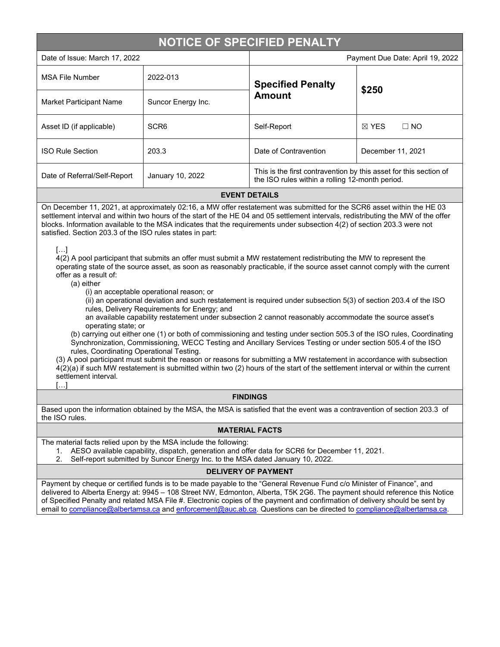# **NOTICE OF SPECIFIED PENALTY**

| Date of Issue: March 17, 2022 |  |
|-------------------------------|--|
|-------------------------------|--|

| Date of Issue: March 17, 2022 |                    | Payment Due Date: April 19, 2022                                                                                     |                              |  |  |
|-------------------------------|--------------------|----------------------------------------------------------------------------------------------------------------------|------------------------------|--|--|
| <b>MSA File Number</b>        | 2022-013           | <b>Specified Penalty</b><br><b>Amount</b>                                                                            | \$250                        |  |  |
| Market Participant Name       | Suncor Energy Inc. |                                                                                                                      |                              |  |  |
| Asset ID (if applicable)      | SCR <sub>6</sub>   | Self-Report                                                                                                          | $\boxtimes$ YES<br>$\Box$ No |  |  |
| <b>ISO Rule Section</b>       | 203.3              | Date of Contravention                                                                                                | December 11, 2021            |  |  |
| Date of Referral/Self-Report  | January 10, 2022   | This is the first contravention by this asset for this section of<br>the ISO rules within a rolling 12-month period. |                              |  |  |
|                               |                    |                                                                                                                      |                              |  |  |

#### **EVENT DETAILS**

On December 11, 2021, at approximately 02:16, a MW offer restatement was submitted for the SCR6 asset within the HE 03 settlement interval and within two hours of the start of the HE 04 and 05 settlement intervals, redistributing the MW of the offer blocks. Information available to the MSA indicates that the requirements under subsection 4(2) of section 203.3 were not satisfied. Section 203.3 of the ISO rules states in part:

[…]

4(2) A pool participant that submits an offer must submit a MW restatement redistributing the MW to represent the operating state of the source asset, as soon as reasonably practicable, if the source asset cannot comply with the current offer as a result of:

(a) either

(i) an acceptable operational reason; or

(ii) an operational deviation and such restatement is required under subsection 5(3) of section 203.4 of the ISO rules, Delivery Requirements for Energy; and

an available capability restatement under subsection 2 cannot reasonably accommodate the source asset's operating state; or

(b) carrying out either one (1) or both of commissioning and testing under section 505.3 of the ISO rules, Coordinating Synchronization, Commissioning, WECC Testing and Ancillary Services Testing or under section 505.4 of the ISO rules, Coordinating Operational Testing.

(3) A pool participant must submit the reason or reasons for submitting a MW restatement in accordance with subsection 4(2)(a) if such MW restatement is submitted within two (2) hours of the start of the settlement interval or within the current settlement interval.

 $[...]$ 

### **FINDINGS**

Based upon the information obtained by the MSA, the MSA is satisfied that the event was a contravention of section 203.3 of the ISO rules.

### **MATERIAL FACTS**

The material facts relied upon by the MSA include the following:

- 1. AESO available capability, dispatch, generation and offer data for SCR6 for December 11, 2021.
- 2. Self-report submitted by Suncor Energy Inc. to the MSA dated January 10, 2022.

# **DELIVERY OF PAYMENT**

Payment by cheque or certified funds is to be made payable to the "General Revenue Fund c/o Minister of Finance", and delivered to Alberta Energy at: 9945 – 108 Street NW, Edmonton, Alberta, T5K 2G6. The payment should reference this Notice of Specified Penalty and related MSA File #. Electronic copies of the payment and confirmation of delivery should be sent by email to [compliance@albertamsa.ca](mailto:compliance@albertamsa.ca) and [enforcement@auc.ab.ca.](mailto:enforcement@auc.ab.ca) Questions can be directed to [compliance@albertamsa.ca.](mailto:compliance@albertamsa.ca)